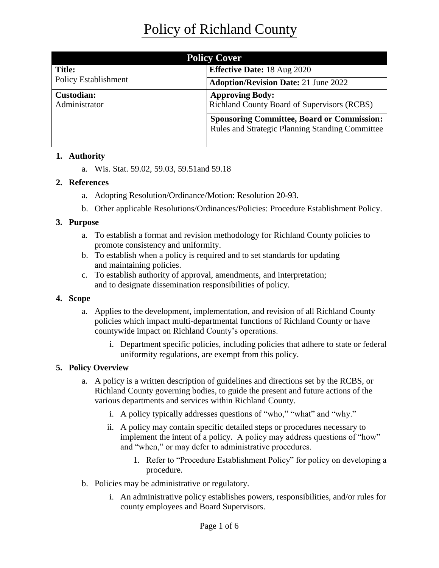| <b>Policy Cover</b>                |                                                                                                             |
|------------------------------------|-------------------------------------------------------------------------------------------------------------|
| <b>Title:</b>                      | <b>Effective Date: 18 Aug 2020</b>                                                                          |
| <b>Policy Establishment</b>        | <b>Adoption/Revision Date: 21 June 2022</b>                                                                 |
| <b>Custodian:</b><br>Administrator | <b>Approving Body:</b><br><b>Richland County Board of Supervisors (RCBS)</b>                                |
|                                    | <b>Sponsoring Committee, Board or Commission:</b><br><b>Rules and Strategic Planning Standing Committee</b> |

## **1. Authority**

a. Wis. Stat. 59.02, 59.03, 59.51and 59.18

## **2. References**

- a. Adopting Resolution/Ordinance/Motion: Resolution 20-93.
- b. Other applicable Resolutions/Ordinances/Policies: Procedure Establishment Policy.

## **3. Purpose**

- a. To establish a format and revision methodology for Richland County policies to promote consistency and uniformity.
- b. To establish when a policy is required and to set standards for updating and maintaining policies.
- c. To establish authority of approval, amendments, and interpretation; and to designate dissemination responsibilities of policy.

### **4. Scope**

- a. Applies to the development, implementation, and revision of all Richland County policies which impact multi-departmental functions of Richland County or have countywide impact on Richland County's operations.
	- i. Department specific policies, including policies that adhere to state or federal uniformity regulations, are exempt from this policy.

# **5. Policy Overview**

- a. A policy is a written description of guidelines and directions set by the RCBS, or Richland County governing bodies, to guide the present and future actions of the various departments and services within Richland County.
	- i. A policy typically addresses questions of "who," "what" and "why."
	- ii. A policy may contain specific detailed steps or procedures necessary to implement the intent of a policy. A policy may address questions of "how" and "when," or may defer to administrative procedures.
		- 1. Refer to "Procedure Establishment Policy" for policy on developing a procedure.
- b. Policies may be administrative or regulatory.
	- i. An administrative policy establishes powers, responsibilities, and/or rules for county employees and Board Supervisors.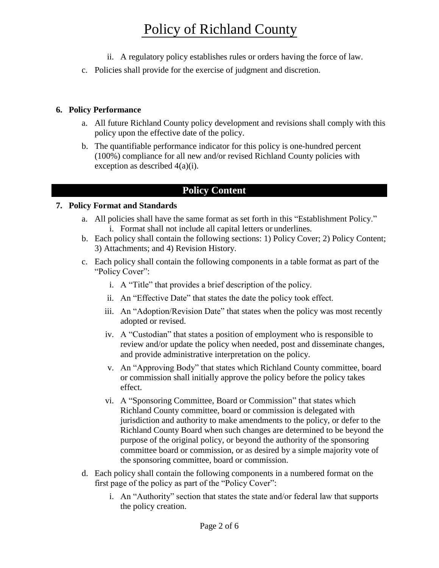# Policy of Richland County

- ii. A regulatory policy establishes rules or orders having the force of law.
- c. Policies shall provide for the exercise of judgment and discretion.

# **6. Policy Performance**

- a. All future Richland County policy development and revisions shall comply with this policy upon the effective date of the policy.
- b. The quantifiable performance indicator for this policy is one-hundred percent (100%) compliance for all new and/or revised Richland County policies with exception as described 4(a)(i).

# **Policy Content**

## **7. Policy Format and Standards**

- a. All policies shall have the same format as set forth in this "Establishment Policy." i. Format shall not include all capital letters or underlines.
- b. Each policy shall contain the following sections: 1) Policy Cover; 2) Policy Content; 3) Attachments; and 4) Revision History.
- c. Each policy shall contain the following components in a table format as part of the "Policy Cover":
	- i. A "Title" that provides a brief description of the policy.
	- ii. An "Effective Date" that states the date the policy took effect.
	- iii. An "Adoption/Revision Date" that states when the policy was most recently adopted or revised.
	- iv. A "Custodian" that states a position of employment who is responsible to review and/or update the policy when needed, post and disseminate changes, and provide administrative interpretation on the policy.
	- v. An "Approving Body" that states which Richland County committee, board or commission shall initially approve the policy before the policy takes effect.
	- vi. A "Sponsoring Committee, Board or Commission" that states which Richland County committee, board or commission is delegated with jurisdiction and authority to make amendments to the policy, or defer to the Richland County Board when such changes are determined to be beyond the purpose of the original policy, or beyond the authority of the sponsoring committee board or commission, or as desired by a simple majority vote of the sponsoring committee, board or commission.
- d. Each policy shall contain the following components in a numbered format on the first page of the policy as part of the "Policy Cover":
	- i. An "Authority" section that states the state and/or federal law that supports the policy creation.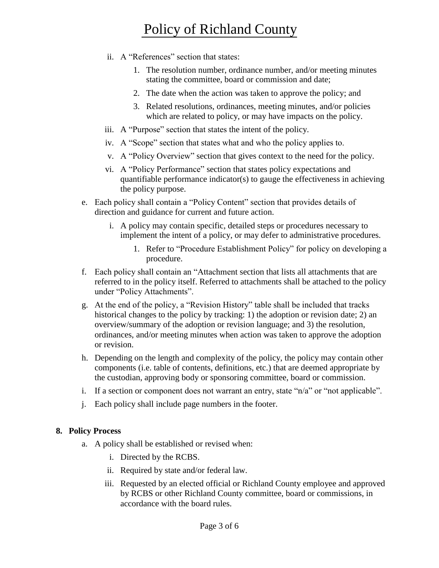# Policy of Richland County

- ii. A "References" section that states:
	- 1. The resolution number, ordinance number, and/or meeting minutes stating the committee, board or commission and date;
	- 2. The date when the action was taken to approve the policy; and
	- 3. Related resolutions, ordinances, meeting minutes, and/or policies which are related to policy, or may have impacts on the policy.
- iii. A "Purpose" section that states the intent of the policy.
- iv. A "Scope" section that states what and who the policy applies to.
- v. A "Policy Overview" section that gives context to the need for the policy.
- vi. A "Policy Performance" section that states policy expectations and quantifiable performance indicator(s) to gauge the effectiveness in achieving the policy purpose.
- e. Each policy shall contain a "Policy Content" section that provides details of direction and guidance for current and future action.
	- i. A policy may contain specific, detailed steps or procedures necessary to implement the intent of a policy, or may defer to administrative procedures.
		- 1. Refer to "Procedure Establishment Policy" for policy on developing a procedure.
- f. Each policy shall contain an "Attachment section that lists all attachments that are referred to in the policy itself. Referred to attachments shall be attached to the policy under "Policy Attachments".
- g. At the end of the policy, a "Revision History" table shall be included that tracks historical changes to the policy by tracking: 1) the adoption or revision date; 2) an overview/summary of the adoption or revision language; and 3) the resolution, ordinances, and/or meeting minutes when action was taken to approve the adoption or revision.
- h. Depending on the length and complexity of the policy, the policy may contain other components (i.e. table of contents, definitions, etc.) that are deemed appropriate by the custodian, approving body or sponsoring committee, board or commission.
- i. If a section or component does not warrant an entry, state "n/a" or "not applicable".
- j. Each policy shall include page numbers in the footer.

#### **8. Policy Process**

- a. A policy shall be established or revised when:
	- i. Directed by the RCBS.
	- ii. Required by state and/or federal law.
	- iii. Requested by an elected official or Richland County employee and approved by RCBS or other Richland County committee, board or commissions, in accordance with the board rules.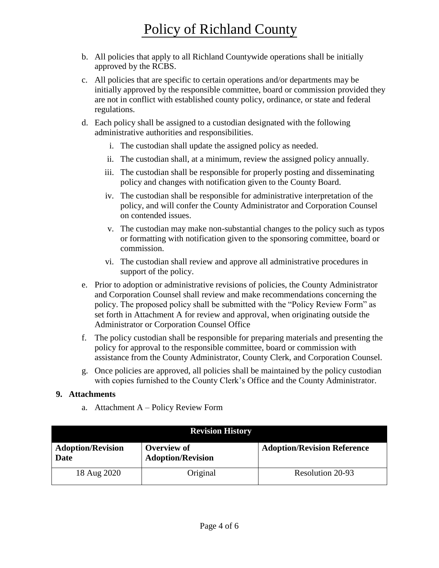- b. All policies that apply to all Richland Countywide operations shall be initially approved by the RCBS.
- c. All policies that are specific to certain operations and/or departments may be initially approved by the responsible committee, board or commission provided they are not in conflict with established county policy, ordinance, or state and federal regulations.
- d. Each policy shall be assigned to a custodian designated with the following administrative authorities and responsibilities.
	- i. The custodian shall update the assigned policy as needed.
	- ii. The custodian shall, at a minimum, review the assigned policy annually.
	- iii. The custodian shall be responsible for properly posting and disseminating policy and changes with notification given to the County Board.
	- iv. The custodian shall be responsible for administrative interpretation of the policy, and will confer the County Administrator and Corporation Counsel on contended issues.
	- v. The custodian may make non-substantial changes to the policy such as typos or formatting with notification given to the sponsoring committee, board or commission.
	- vi. The custodian shall review and approve all administrative procedures in support of the policy.
- e. Prior to adoption or administrative revisions of policies, the County Administrator and Corporation Counsel shall review and make recommendations concerning the policy. The proposed policy shall be submitted with the "Policy Review Form" as set forth in Attachment A for review and approval, when originating outside the Administrator or Corporation Counsel Office
- f. The policy custodian shall be responsible for preparing materials and presenting the policy for approval to the responsible committee, board or commission with assistance from the County Administrator, County Clerk, and Corporation Counsel.
- g. Once policies are approved, all policies shall be maintained by the policy custodian with copies furnished to the County Clerk's Office and the County Administrator.

### **9. Attachments**

a. Attachment A – Policy Review Form

| <b>Revision History</b>          |                                         |                                    |
|----------------------------------|-----------------------------------------|------------------------------------|
| <b>Adoption/Revision</b><br>Date | Overview of<br><b>Adoption/Revision</b> | <b>Adoption/Revision Reference</b> |
| 18 Aug 2020                      | Original                                | Resolution 20-93                   |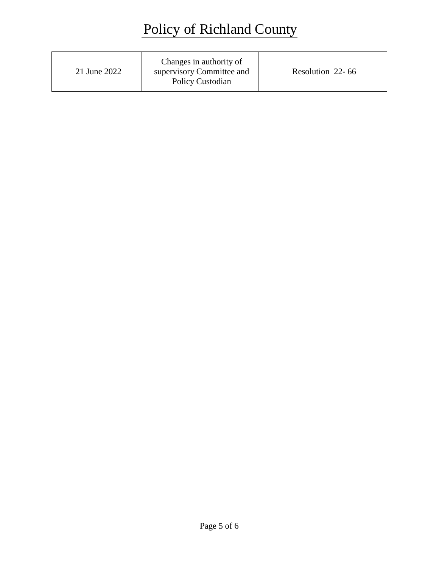| 21 June 2022 | Changes in authority of<br>supervisory Committee and<br>Policy Custodian | Resolution 22-66 |
|--------------|--------------------------------------------------------------------------|------------------|
|--------------|--------------------------------------------------------------------------|------------------|